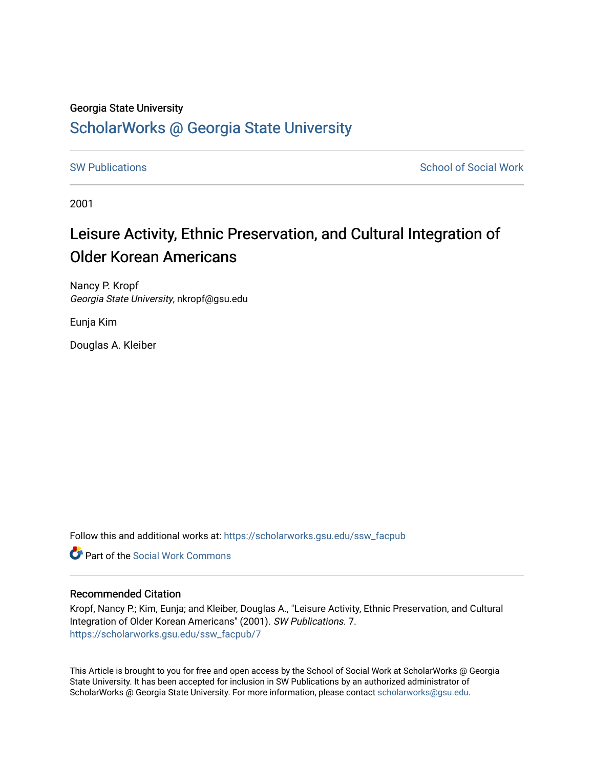# Georgia State University

# [ScholarWorks @ Georgia State University](https://scholarworks.gsu.edu/)

[SW Publications](https://scholarworks.gsu.edu/ssw_facpub) **SW Publications** School of Social Work

2001

# Leisure Activity, Ethnic Preservation, and Cultural Integration of Older Korean Americans

Nancy P. Kropf Georgia State University, nkropf@gsu.edu

Eunja Kim

Douglas A. Kleiber

Follow this and additional works at: [https://scholarworks.gsu.edu/ssw\\_facpub](https://scholarworks.gsu.edu/ssw_facpub?utm_source=scholarworks.gsu.edu%2Fssw_facpub%2F7&utm_medium=PDF&utm_campaign=PDFCoverPages)

**C** Part of the [Social Work Commons](http://network.bepress.com/hgg/discipline/713?utm_source=scholarworks.gsu.edu%2Fssw_facpub%2F7&utm_medium=PDF&utm_campaign=PDFCoverPages)

# Recommended Citation

Kropf, Nancy P.; Kim, Eunja; and Kleiber, Douglas A., "Leisure Activity, Ethnic Preservation, and Cultural Integration of Older Korean Americans" (2001). SW Publications. 7. [https://scholarworks.gsu.edu/ssw\\_facpub/7](https://scholarworks.gsu.edu/ssw_facpub/7?utm_source=scholarworks.gsu.edu%2Fssw_facpub%2F7&utm_medium=PDF&utm_campaign=PDFCoverPages)

This Article is brought to you for free and open access by the School of Social Work at ScholarWorks @ Georgia State University. It has been accepted for inclusion in SW Publications by an authorized administrator of ScholarWorks @ Georgia State University. For more information, please contact [scholarworks@gsu.edu](mailto:scholarworks@gsu.edu).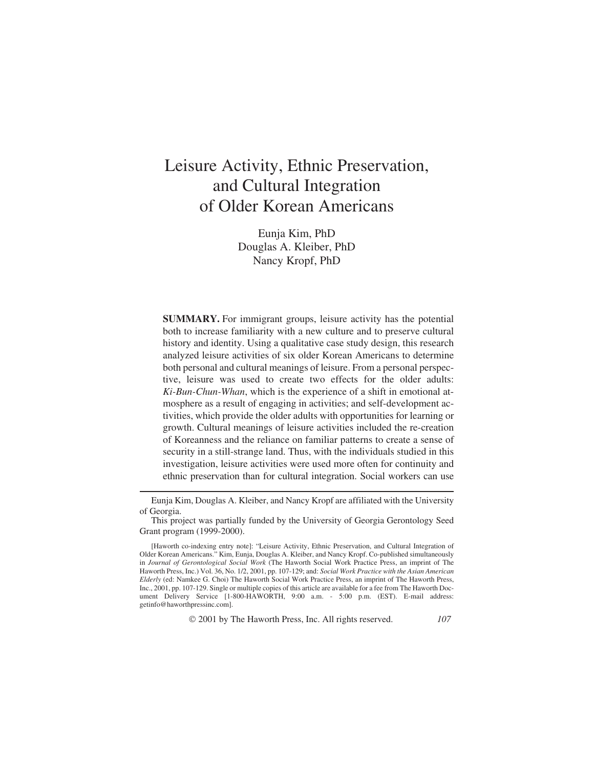# Leisure Activity, Ethnic Preservation, and Cultural Integration of Older Korean Americans

Eunja Kim, PhD Douglas A. Kleiber, PhD Nancy Kropf, PhD

**SUMMARY.** For immigrant groups, leisure activity has the potential both to increase familiarity with a new culture and to preserve cultural history and identity. Using a qualitative case study design, this research analyzed leisure activities of six older Korean Americans to determine both personal and cultural meanings of leisure. From a personal perspective, leisure was used to create two effects for the older adults: *Ki-Bun-Chun-Whan*, which is the experience of a shift in emotional atmosphere as a result of engaging in activities; and self-development activities, which provide the older adults with opportunities for learning or growth. Cultural meanings of leisure activities included the re-creation of Koreanness and the reliance on familiar patterns to create a sense of security in a still-strange land. Thus, with the individuals studied in this investigation, leisure activities were used more often for continuity and ethnic preservation than for cultural integration. Social workers can use

2001 by The Haworth Press, Inc. All rights reserved. *107*

Eunja Kim, Douglas A. Kleiber, and Nancy Kropf are affiliated with the University of Georgia.

This project was partially funded by the University of Georgia Gerontology Seed Grant program (1999-2000).

<sup>[</sup>Haworth co-indexing entry note]: "Leisure Activity, Ethnic Preservation, and Cultural Integration of Older Korean Americans." Kim, Eunja, Douglas A. Kleiber, and Nancy Kropf. Co-published simultaneously in *Journal of Gerontological Social Work* (The Haworth Social Work Practice Press, an imprint of The Haworth Press, Inc.) Vol. 36, No. 1/2, 2001, pp. 107-129; and: *Social Work Practice with the Asian American Elderly* (ed: Namkee G. Choi) The Haworth Social Work Practice Press, an imprint of The Haworth Press, Inc., 2001, pp. 107-129. Single or multiple copies of this article are available for a fee from The Haworth Document Delivery Service [1-800-HAWORTH, 9:00 a.m. - 5:00 p.m. (EST). E-mail address: getinfo@haworthpressinc.com].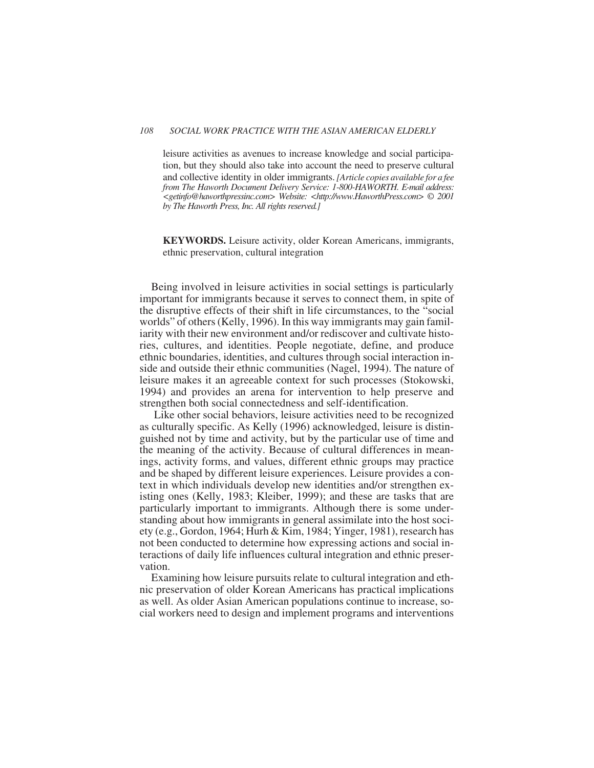leisure activities as avenues to increase knowledge and social participation, but they should also take into account the need to preserve cultural and collective identity in older immigrants.*[Article copies available for a fee from The Haworth Document Delivery Service: 1-800-HAWORTH. E-mail address: <getinfo@haworthpressinc.com> Website: [<http://www.HaworthPress.com>](http://www.HaworthPress.com) © 2001 by The Haworth Press, Inc. All rights reserved.]*

**KEYWORDS.** Leisure activity, older Korean Americans, immigrants, ethnic preservation, cultural integration

Being involved in leisure activities in social settings is particularly important for immigrants because it serves to connect them, in spite of the disruptive effects of their shift in life circumstances, to the "social worlds" of others (Kelly, 1996). In this way immigrants may gain familiarity with their new environment and/or rediscover and cultivate histories, cultures, and identities. People negotiate, define, and produce ethnic boundaries, identities, and cultures through social interaction inside and outside their ethnic communities (Nagel, 1994). The nature of leisure makes it an agreeable context for such processes (Stokowski, 1994) and provides an arena for intervention to help preserve and strengthen both social connectedness and self-identification.

Like other social behaviors, leisure activities need to be recognized as culturally specific. As Kelly (1996) acknowledged, leisure is distinguished not by time and activity, but by the particular use of time and the meaning of the activity. Because of cultural differences in meanings, activity forms, and values, different ethnic groups may practice and be shaped by different leisure experiences. Leisure provides a context in which individuals develop new identities and/or strengthen existing ones (Kelly, 1983; Kleiber, 1999); and these are tasks that are particularly important to immigrants. Although there is some understanding about how immigrants in general assimilate into the host society (e.g., Gordon, 1964; Hurh & Kim, 1984; Yinger, 1981), research has not been conducted to determine how expressing actions and social interactions of daily life influences cultural integration and ethnic preservation.

Examining how leisure pursuits relate to cultural integration and ethnic preservation of older Korean Americans has practical implications as well. As older Asian American populations continue to increase, social workers need to design and implement programs and interventions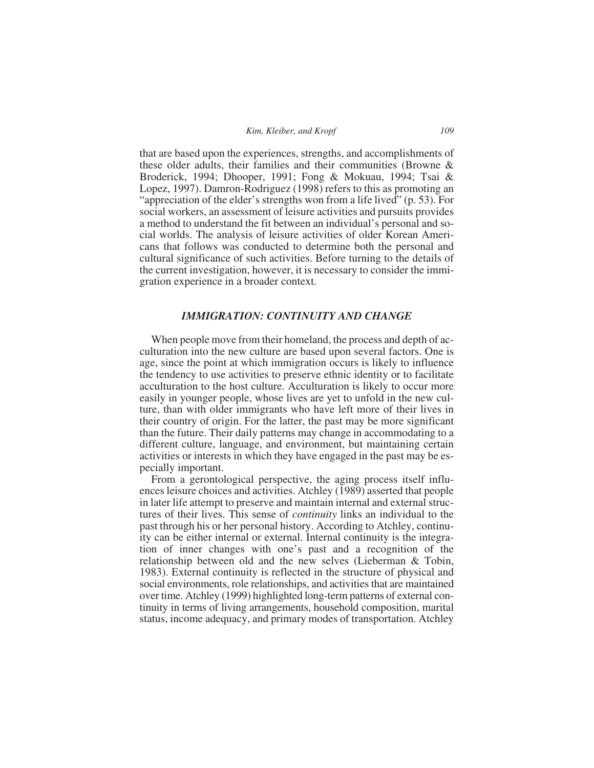*Kim, Kleiber, and Kropf 109*

that are based upon the experiences, strengths, and accomplishments of these older adults, their families and their communities (Browne & Broderick, 1994; Dhooper, 1991; Fong & Mokuau, 1994; Tsai & Lopez, 1997). Damron-Rodriguez (1998) refers to this as promoting an "appreciation of the elder's strengths won from a life lived" (p. 53). For social workers, an assessment of leisure activities and pursuits provides a method to understand the fit between an individual's personal and social worlds. The analysis of leisure activities of older Korean Americans that follows was conducted to determine both the personal and cultural significance of such activities. Before turning to the details of the current investigation, however, it is necessary to consider the immigration experience in a broader context.

#### *IMMIGRATION: CONTINUITY AND CHANGE*

When people move from their homeland, the process and depth of acculturation into the new culture are based upon several factors. One is age, since the point at which immigration occurs is likely to influence the tendency to use activities to preserve ethnic identity or to facilitate acculturation to the host culture. Acculturation is likely to occur more easily in younger people, whose lives are yet to unfold in the new culture, than with older immigrants who have left more of their lives in their country of origin. For the latter, the past may be more significant than the future. Their daily patterns may change in accommodating to a different culture, language, and environment, but maintaining certain activities or interests in which they have engaged in the past may be especially important.

From a gerontological perspective, the aging process itself influences leisure choices and activities. Atchley (1989) asserted that people in later life attempt to preserve and maintain internal and external structures of their lives. This sense of *continuity* links an individual to the past through his or her personal history. According to Atchley, continuity can be either internal or external. Internal continuity is the integration of inner changes with one's past and a recognition of the relationship between old and the new selves (Lieberman & Tobin, 1983). External continuity is reflected in the structure of physical and social environments, role relationships, and activities that are maintained over time. Atchley (1999) highlighted long-term patterns of external continuity in terms of living arrangements, household composition, marital status, income adequacy, and primary modes of transportation. Atchley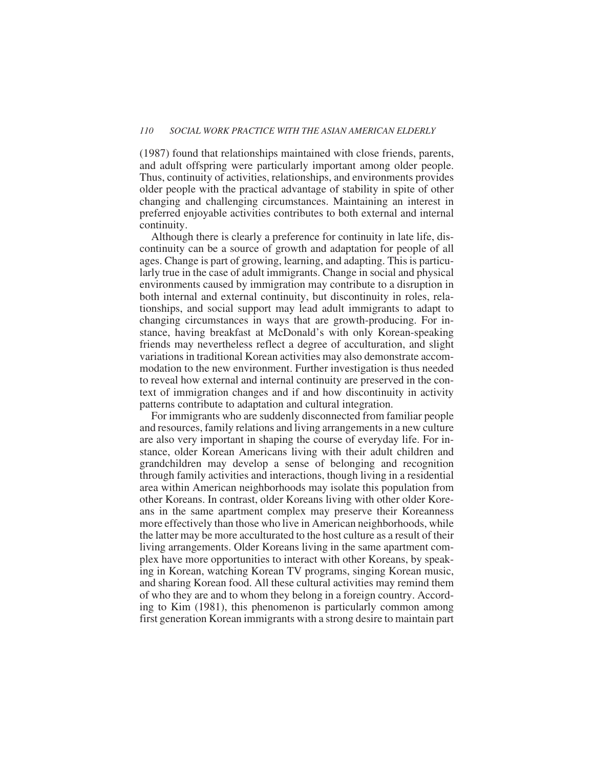(1987) found that relationships maintained with close friends, parents, and adult offspring were particularly important among older people. Thus, continuity of activities, relationships, and environments provides older people with the practical advantage of stability in spite of other changing and challenging circumstances. Maintaining an interest in preferred enjoyable activities contributes to both external and internal continuity.

Although there is clearly a preference for continuity in late life, discontinuity can be a source of growth and adaptation for people of all ages. Change is part of growing, learning, and adapting. This is particularly true in the case of adult immigrants. Change in social and physical environments caused by immigration may contribute to a disruption in both internal and external continuity, but discontinuity in roles, relationships, and social support may lead adult immigrants to adapt to changing circumstances in ways that are growth-producing. For instance, having breakfast at McDonald's with only Korean-speaking friends may nevertheless reflect a degree of acculturation, and slight variations in traditional Korean activities may also demonstrate accommodation to the new environment. Further investigation is thus needed to reveal how external and internal continuity are preserved in the context of immigration changes and if and how discontinuity in activity patterns contribute to adaptation and cultural integration.

For immigrants who are suddenly disconnected from familiar people and resources, family relations and living arrangements in a new culture are also very important in shaping the course of everyday life. For instance, older Korean Americans living with their adult children and grandchildren may develop a sense of belonging and recognition through family activities and interactions, though living in a residential area within American neighborhoods may isolate this population from other Koreans. In contrast, older Koreans living with other older Koreans in the same apartment complex may preserve their Koreanness more effectively than those who live in American neighborhoods, while the latter may be more acculturated to the host culture as a result of their living arrangements. Older Koreans living in the same apartment complex have more opportunities to interact with other Koreans, by speaking in Korean, watching Korean TV programs, singing Korean music, and sharing Korean food. All these cultural activities may remind them of who they are and to whom they belong in a foreign country. According to Kim (1981), this phenomenon is particularly common among first generation Korean immigrants with a strong desire to maintain part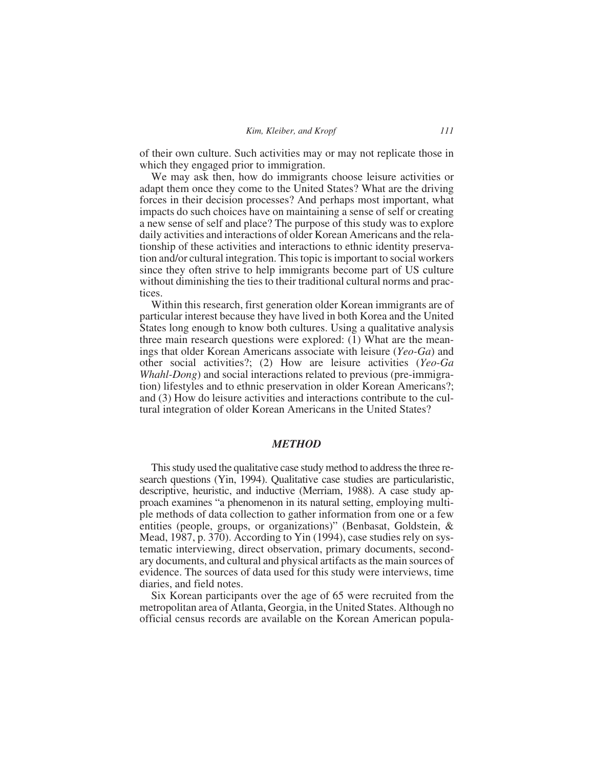of their own culture. Such activities may or may not replicate those in which they engaged prior to immigration.

We may ask then, how do immigrants choose leisure activities or adapt them once they come to the United States? What are the driving forces in their decision processes? And perhaps most important, what impacts do such choices have on maintaining a sense of self or creating a new sense of self and place? The purpose of this study was to explore daily activities and interactions of older Korean Americans and the relationship of these activities and interactions to ethnic identity preservation and/or cultural integration. This topic is important to social workers since they often strive to help immigrants become part of US culture without diminishing the ties to their traditional cultural norms and practices.

Within this research, first generation older Korean immigrants are of particular interest because they have lived in both Korea and the United States long enough to know both cultures. Using a qualitative analysis three main research questions were explored: (1) What are the meanings that older Korean Americans associate with leisure (*Yeo-Ga*) and other social activities?; (2) How are leisure activities (*Yeo-Ga Whahl-Dong*) and social interactions related to previous (pre-immigration) lifestyles and to ethnic preservation in older Korean Americans?; and (3) How do leisure activities and interactions contribute to the cultural integration of older Korean Americans in the United States?

#### *METHOD*

This study used the qualitative case study method to address the three research questions (Yin, 1994). Qualitative case studies are particularistic, descriptive, heuristic, and inductive (Merriam, 1988). A case study approach examines "a phenomenon in its natural setting, employing multiple methods of data collection to gather information from one or a few entities (people, groups, or organizations)" (Benbasat, Goldstein, & Mead, 1987, p. 370). According to Yin (1994), case studies rely on systematic interviewing, direct observation, primary documents, secondary documents, and cultural and physical artifacts as the main sources of evidence. The sources of data used for this study were interviews, time diaries, and field notes.

Six Korean participants over the age of 65 were recruited from the metropolitan area of Atlanta, Georgia, in the United States. Although no official census records are available on the Korean American popula-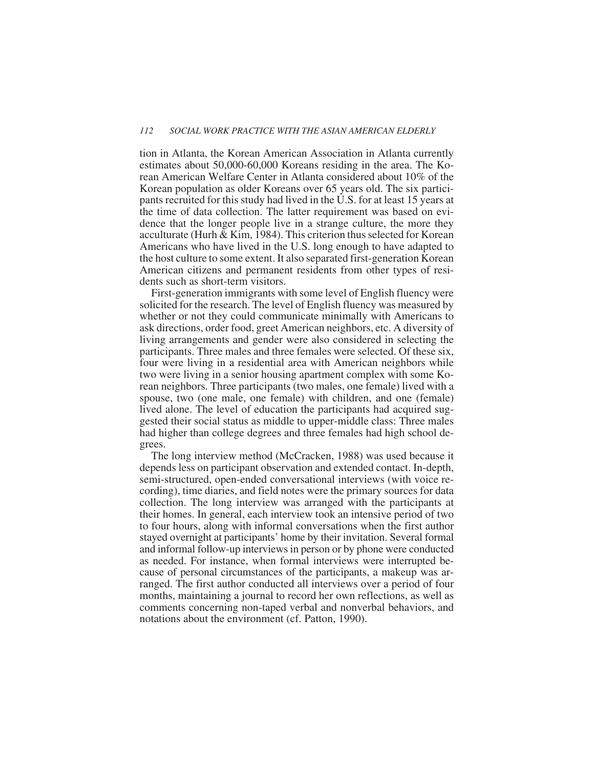tion in Atlanta, the Korean American Association in Atlanta currently estimates about 50,000-60,000 Koreans residing in the area. The Korean American Welfare Center in Atlanta considered about 10% of the Korean population as older Koreans over 65 years old. The six participants recruited for this study had lived in the U.S. for at least 15 years at the time of data collection. The latter requirement was based on evidence that the longer people live in a strange culture, the more they acculturate (Hurh & Kim, 1984). This criterion thus selected for Korean Americans who have lived in the U.S. long enough to have adapted to the host culture to some extent. It also separated first-generation Korean American citizens and permanent residents from other types of residents such as short-term visitors.

First-generation immigrants with some level of English fluency were solicited for the research. The level of English fluency was measured by whether or not they could communicate minimally with Americans to ask directions, order food, greet American neighbors, etc. A diversity of living arrangements and gender were also considered in selecting the participants. Three males and three females were selected. Of these six, four were living in a residential area with American neighbors while two were living in a senior housing apartment complex with some Korean neighbors. Three participants (two males, one female) lived with a spouse, two (one male, one female) with children, and one (female) lived alone. The level of education the participants had acquired suggested their social status as middle to upper-middle class: Three males had higher than college degrees and three females had high school degrees.

The long interview method (McCracken, 1988) was used because it depends less on participant observation and extended contact. In-depth, semi-structured, open-ended conversational interviews (with voice recording), time diaries, and field notes were the primary sources for data collection. The long interview was arranged with the participants at their homes. In general, each interview took an intensive period of two to four hours, along with informal conversations when the first author stayed overnight at participants' home by their invitation. Several formal and informal follow-up interviews in person or by phone were conducted as needed. For instance, when formal interviews were interrupted because of personal circumstances of the participants, a makeup was arranged. The first author conducted all interviews over a period of four months, maintaining a journal to record her own reflections, as well as comments concerning non-taped verbal and nonverbal behaviors, and notations about the environment (cf. Patton, 1990).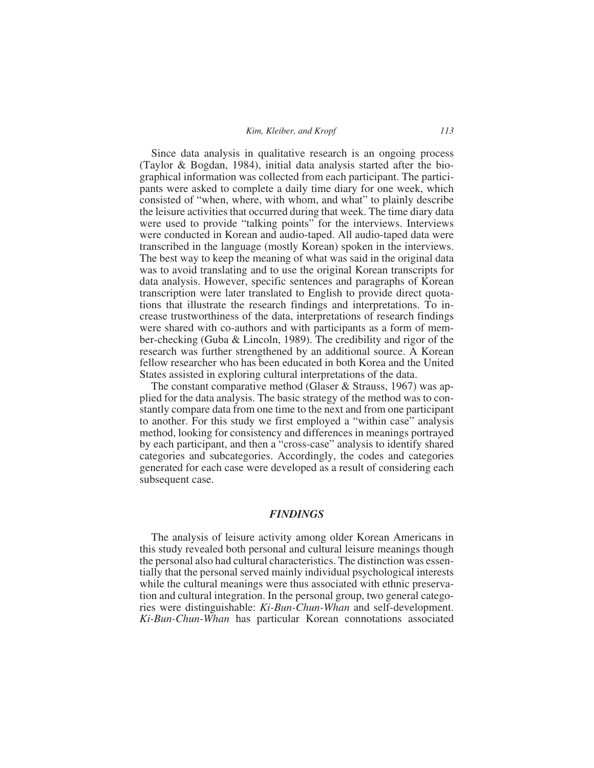Since data analysis in qualitative research is an ongoing process (Taylor & Bogdan, 1984), initial data analysis started after the biographical information was collected from each participant. The participants were asked to complete a daily time diary for one week, which consisted of "when, where, with whom, and what" to plainly describe the leisure activities that occurred during that week. The time diary data were used to provide "talking points" for the interviews. Interviews were conducted in Korean and audio-taped. All audio-taped data were transcribed in the language (mostly Korean) spoken in the interviews. The best way to keep the meaning of what was said in the original data was to avoid translating and to use the original Korean transcripts for data analysis. However, specific sentences and paragraphs of Korean transcription were later translated to English to provide direct quotations that illustrate the research findings and interpretations. To increase trustworthiness of the data, interpretations of research findings were shared with co-authors and with participants as a form of member-checking (Guba & Lincoln, 1989). The credibility and rigor of the research was further strengthened by an additional source. A Korean fellow researcher who has been educated in both Korea and the United States assisted in exploring cultural interpretations of the data.

The constant comparative method (Glaser & Strauss, 1967) was applied for the data analysis. The basic strategy of the method was to constantly compare data from one time to the next and from one participant to another. For this study we first employed a "within case" analysis method, looking for consistency and differences in meanings portrayed by each participant, and then a "cross-case" analysis to identify shared categories and subcategories. Accordingly, the codes and categories generated for each case were developed as a result of considering each subsequent case.

#### *FINDINGS*

The analysis of leisure activity among older Korean Americans in this study revealed both personal and cultural leisure meanings though the personal also had cultural characteristics. The distinction was essentially that the personal served mainly individual psychological interests while the cultural meanings were thus associated with ethnic preservation and cultural integration. In the personal group, two general categories were distinguishable: *Ki-Bun-Chun-Whan* and self-development. *Ki-Bun-Chun-Whan* has particular Korean connotations associated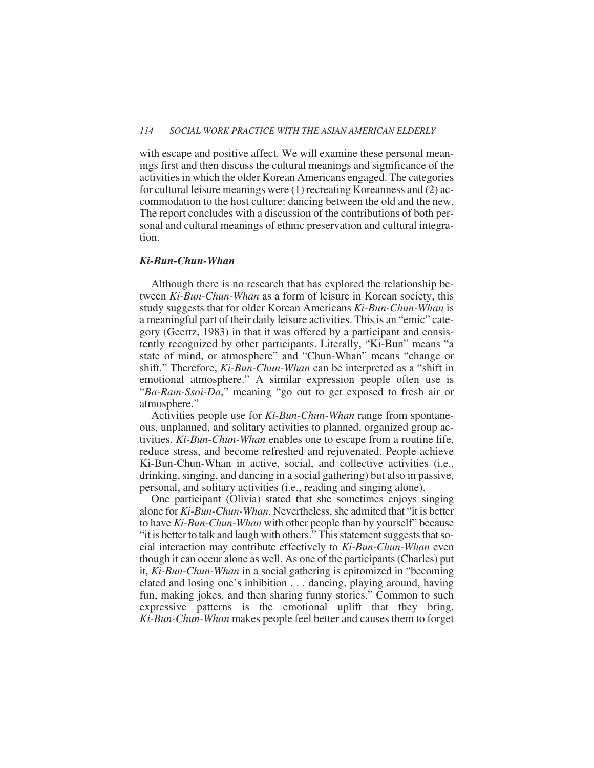with escape and positive affect. We will examine these personal meanings first and then discuss the cultural meanings and significance of the activities in which the older Korean Americans engaged. The categories for cultural leisure meanings were (1) recreating Koreanness and (2) accommodation to the host culture: dancing between the old and the new. The report concludes with a discussion of the contributions of both personal and cultural meanings of ethnic preservation and cultural integration.

#### *Ki-Bun-Chun-Whan*

Although there is no research that has explored the relationship between *Ki-Bun-Chun-Whan* as a form of leisure in Korean society, this study suggests that for older Korean Americans *Ki-Bun-Chun-Whan* is a meaningful part of their daily leisure activities. This is an "emic" category (Geertz, 1983) in that it was offered by a participant and consistently recognized by other participants. Literally, "Ki-Bun" means "a state of mind, or atmosphere" and "Chun-Whan" means "change or shift." Therefore, *Ki-Bun-Chun-Whan* can be interpreted as a "shift in emotional atmosphere." A similar expression people often use is "*Ba-Ram-Ssoi-Da*," meaning "go out to get exposed to fresh air or atmosphere."

Activities people use for *Ki-Bun-Chun-Whan* range from spontaneous, unplanned, and solitary activities to planned, organized group activities. *Ki-Bun-Chun-Whan* enables one to escape from a routine life, reduce stress, and become refreshed and rejuvenated. People achieve Ki-Bun-Chun-Whan in active, social, and collective activities (i.e., drinking, singing, and dancing in a social gathering) but also in passive, personal, and solitary activities (i.e., reading and singing alone).

One participant (Olivia) stated that she sometimes enjoys singing alone for *Ki-Bun-Chun-Whan*. Nevertheless, she admited that "it is better to have *Ki-Bun-Chun-Whan* with other people than by yourself" because "it is better to talk and laugh with others." This statement suggests that social interaction may contribute effectively to *Ki-Bun-Chun-Whan* even though it can occur alone as well. As one of the participants (Charles) put it, *Ki-Bun-Chun-Whan* in a social gathering is epitomized in "becoming elated and losing one's inhibition... dancing, playing around, having fun, making jokes, and then sharing funny stories." Common to such expressive patterns is the emotional uplift that they bring. *Ki-Bun-Chun-Whan* makes people feel better and causes them to forget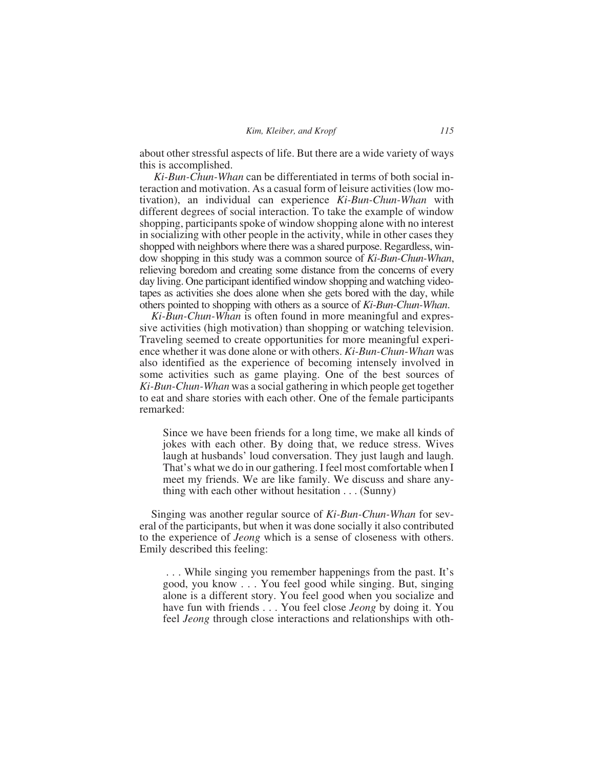about other stressful aspects of life. But there are a wide variety of ways this is accomplished.

*Ki-Bun-Chun-Whan* can be differentiated in terms of both social interaction and motivation. As a casual form of leisure activities (low motivation), an individual can experience *Ki-Bun-Chun-Whan* with different degrees of social interaction. To take the example of window shopping, participants spoke of window shopping alone with no interest in socializing with other people in the activity, while in other cases they shopped with neighbors where there was a shared purpose. Regardless, window shopping in this study was a common source of *Ki-Bun-Chun-Whan*, relieving boredom and creating some distance from the concerns of every day living. One participant identified window shopping and watching videotapes as activities she does alone when she gets bored with the day, while others pointed to shopping with others as a source of *Ki-Bun-Chun-Whan*.

*Ki-Bun-Chun-Whan* is often found in more meaningful and expressive activities (high motivation) than shopping or watching television. Traveling seemed to create opportunities for more meaningful experience whether it was done alone or with others. *Ki-Bun-Chun-Whan* was also identified as the experience of becoming intensely involved in some activities such as game playing. One of the best sources of *Ki-Bun-Chun-Whan* was a social gathering in which people get together to eat and share stories with each other. One of the female participants remarked:

Since we have been friends for a long time, we make all kinds of jokes with each other. By doing that, we reduce stress. Wives laugh at husbands' loud conversation. They just laugh and laugh. That's what we do in our gathering. I feel most comfortable when I meet my friends. We are like family. We discuss and share anything with each other without hesitation . . . (Sunny)

Singing was another regular source of *Ki-Bun-Chun-Whan* for several of the participants, but when it was done socially it also contributed to the experience of *Jeong* which is a sense of closeness with others. Emily described this feeling:

...While singing you remember happenings from the past. It's good, you know . . . You feel good while singing. But, singing alone is a different story. You feel good when you socialize and have fun with friends . . . You feel close *Jeong* by doing it. You feel *Jeong* through close interactions and relationships with oth-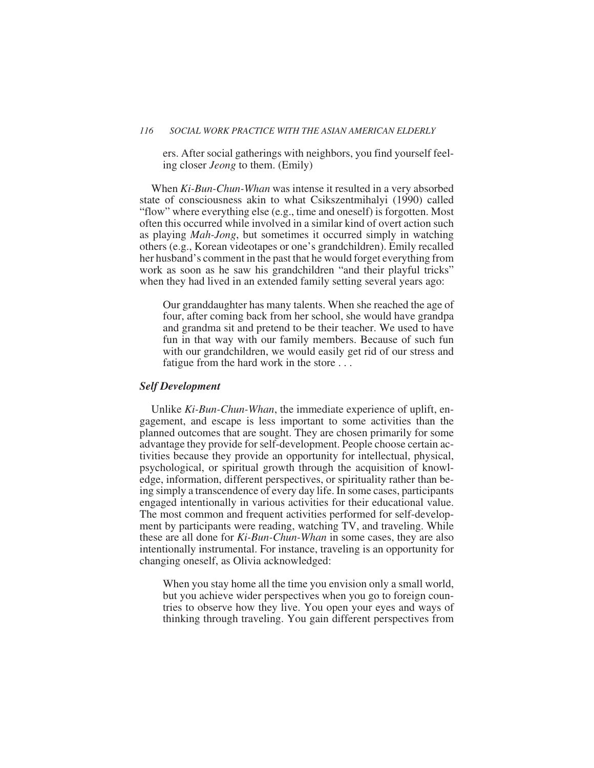ers. After social gatherings with neighbors, you find yourself feeling closer *Jeong* to them. (Emily)

When *Ki-Bun-Chun-Whan* was intense it resulted in a very absorbed state of consciousness akin to what Csikszentmihalyi (1990) called "flow" where everything else (e.g., time and oneself) is forgotten. Most often this occurred while involved in a similar kind of overt action such as playing *Mah-Jong*, but sometimes it occurred simply in watching others (e.g., Korean videotapes or one's grandchildren). Emily recalled her husband's comment in the past that he would forget everything from work as soon as he saw his grandchildren "and their playful tricks" when they had lived in an extended family setting several years ago:

Our granddaughter has many talents. When she reached the age of four, after coming back from her school, she would have grandpa and grandma sit and pretend to be their teacher. We used to have fun in that way with our family members. Because of such fun with our grandchildren, we would easily get rid of our stress and fatigue from the hard work in the store . . .

#### *Self Development*

Unlike *Ki-Bun-Chun-Whan*, the immediate experience of uplift, engagement, and escape is less important to some activities than the planned outcomes that are sought. They are chosen primarily for some advantage they provide for self-development. People choose certain activities because they provide an opportunity for intellectual, physical, psychological, or spiritual growth through the acquisition of knowledge, information, different perspectives, or spirituality rather than being simply a transcendence of every day life. In some cases, participants engaged intentionally in various activities for their educational value. The most common and frequent activities performed for self-development by participants were reading, watching TV, and traveling. While these are all done for *Ki-Bun-Chun-Whan* in some cases, they are also intentionally instrumental. For instance, traveling is an opportunity for changing oneself, as Olivia acknowledged:

When you stay home all the time you envision only a small world, but you achieve wider perspectives when you go to foreign countries to observe how they live. You open your eyes and ways of thinking through traveling. You gain different perspectives from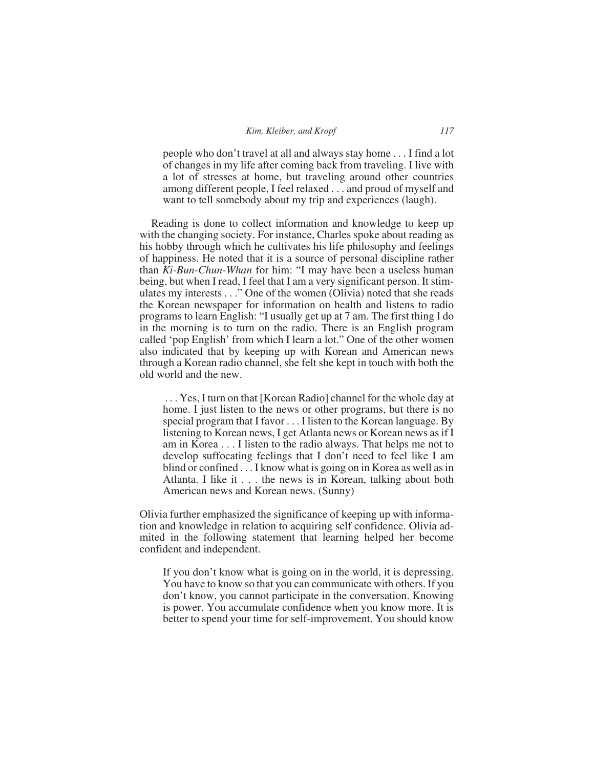people who don't travel at all and always stay home ...I find a lot of changes in my life after coming back from traveling. I live with a lot of stresses at home, but traveling around other countries among different people, I feel relaxed . . . and proud of myself and want to tell somebody about my trip and experiences (laugh).

Reading is done to collect information and knowledge to keep up with the changing society. For instance, Charles spoke about reading as his hobby through which he cultivates his life philosophy and feelings of happiness. He noted that it is a source of personal discipline rather than *Ki-Bun-Chun-Whan* for him: "I may have been a useless human being, but when I read, I feel that I am a very significant person. It stimulates my interests . . ." One of the women (Olivia) noted that she reads the Korean newspaper for information on health and listens to radio programs to learn English: "I usually get up at 7 am. The first thing I do in the morning is to turn on the radio. There is an English program called 'pop English' from which I learn a lot." One of the other women also indicated that by keeping up with Korean and American news through a Korean radio channel, she felt she kept in touch with both the old world and the new.

. . . Yes, I turn on that [Korean Radio] channel for the whole day at home. I just listen to the news or other programs, but there is no special program that I favor ...I listen to the Korean language. By listening to Korean news, I get Atlanta news or Korean news as if I am in Korea ...I listen to the radio always. That helps me not to develop suffocating feelings that I don't need to feel like I am blind or confined ...I know what is going on in Korea as well as in Atlanta. I like it . . . the news is in Korean, talking about both American news and Korean news. (Sunny)

Olivia further emphasized the significance of keeping up with information and knowledge in relation to acquiring self confidence. Olivia admited in the following statement that learning helped her become confident and independent.

If you don't know what is going on in the world, it is depressing. You have to know so that you can communicate with others. If you don't know, you cannot participate in the conversation. Knowing is power. You accumulate confidence when you know more. It is better to spend your time for self-improvement. You should know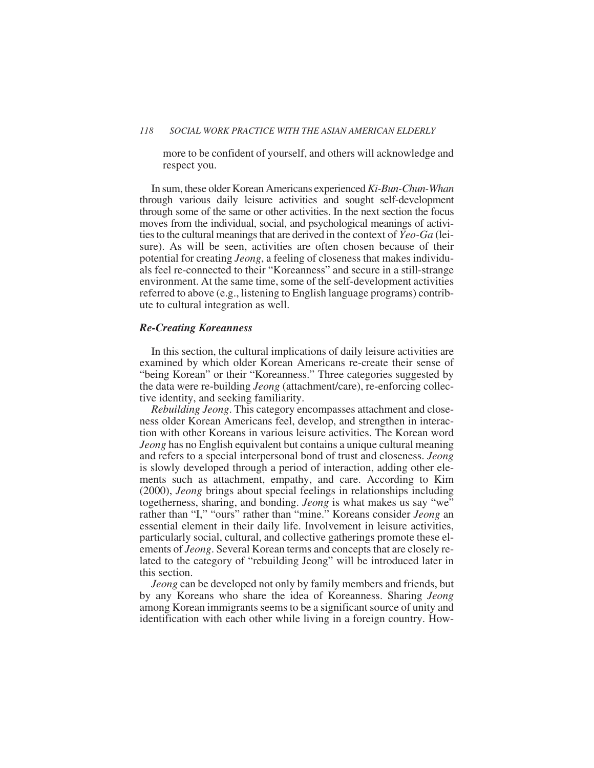more to be confident of yourself, and others will acknowledge and respect you.

In sum, these older Korean Americans experienced*Ki-Bun-Chun-Whan* through various daily leisure activities and sought self-development through some of the same or other activities. In the next section the focus moves from the individual, social, and psychological meanings of activities to the cultural meanings that are derived in the context of *Yeo-Ga* (leisure). As will be seen, activities are often chosen because of their potential for creating *Jeong*, a feeling of closeness that makes individuals feel re-connected to their "Koreanness" and secure in a still-strange environment. At the same time, some of the self-development activities referred to above (e.g., listening to English language programs) contribute to cultural integration as well.

### *Re-Creating Koreanness*

In this section, the cultural implications of daily leisure activities are examined by which older Korean Americans re-create their sense of "being Korean" or their "Koreanness." Three categories suggested by the data were re-building *Jeong* (attachment/care), re-enforcing collective identity, and seeking familiarity.

*Rebuilding Jeong*. This category encompasses attachment and closeness older Korean Americans feel, develop, and strengthen in interaction with other Koreans in various leisure activities. The Korean word *Jeong* has no English equivalent but contains a unique cultural meaning and refers to a special interpersonal bond of trust and closeness. *Jeong* is slowly developed through a period of interaction, adding other elements such as attachment, empathy, and care. According to Kim (2000), *Jeong* brings about special feelings in relationships including togetherness, sharing, and bonding. *Jeong* is what makes us say "we" rather than "I," "ours" rather than "mine." Koreans consider *Jeong* an essential element in their daily life. Involvement in leisure activities, particularly social, cultural, and collective gatherings promote these elements of *Jeong*. Several Korean terms and concepts that are closely related to the category of "rebuilding Jeong" will be introduced later in this section.

*Jeong* can be developed not only by family members and friends, but by any Koreans who share the idea of Koreanness. Sharing *Jeong* among Korean immigrants seems to be a significant source of unity and identification with each other while living in a foreign country. How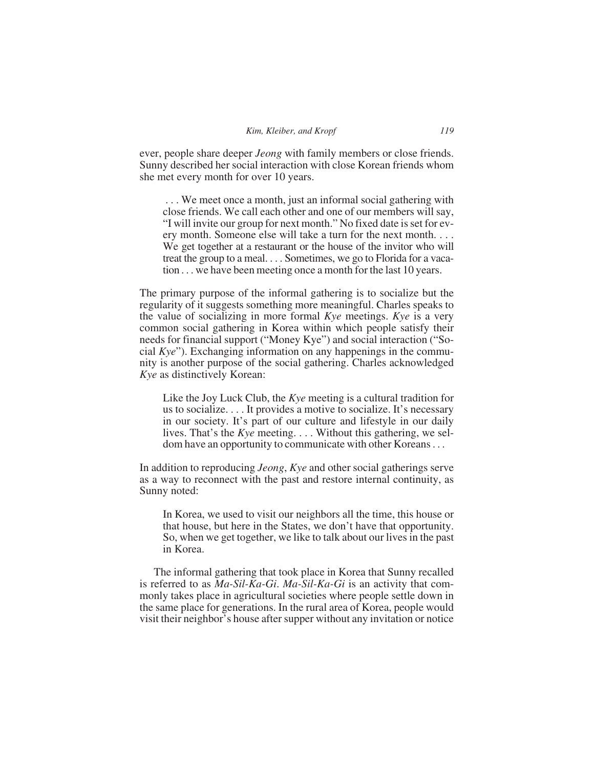ever, people share deeper *Jeong* with family members or close friends. Sunny described her social interaction with close Korean friends whom she met every month for over 10 years.

. . . We meet once a month, just an informal social gathering with close friends. We call each other and one of our members will say, "I will invite our group for next month." No fixed date is set for every month. Someone else will take a turn for the next month. . . . We get together at a restaurant or the house of the invitor who will treat the group to a meal.... Sometimes, we go to Florida for a vacation . . . we have been meeting once a month for the last 10 years.

The primary purpose of the informal gathering is to socialize but the regularity of it suggests something more meaningful. Charles speaks to the value of socializing in more formal *Kye* meetings. *Kye* is a very common social gathering in Korea within which people satisfy their needs for financial support ("Money Kye") and social interaction ("Social *Kye*"). Exchanging information on any happenings in the community is another purpose of the social gathering. Charles acknowledged *Kye* as distinctively Korean:

Like the Joy Luck Club, the *Kye* meeting is a cultural tradition for us to socialize. . . . It provides a motive to socialize. It's necessary in our society. It's part of our culture and lifestyle in our daily lives. That's the *Kye* meeting.... Without this gathering, we seldom have an opportunity to communicate with other Koreans . . .

In addition to reproducing *Jeong*, *Kye* and other social gatherings serve as a way to reconnect with the past and restore internal continuity, as Sunny noted:

In Korea, we used to visit our neighbors all the time, this house or that house, but here in the States, we don't have that opportunity. So, when we get together, we like to talk about our lives in the past in Korea.

The informal gathering that took place in Korea that Sunny recalled is referred to as *Ma-Sil-Ka-Gi*. *Ma-Sil-Ka-Gi* is an activity that commonly takes place in agricultural societies where people settle down in the same place for generations. In the rural area of Korea, people would visit their neighbor's house after supper without any invitation or notice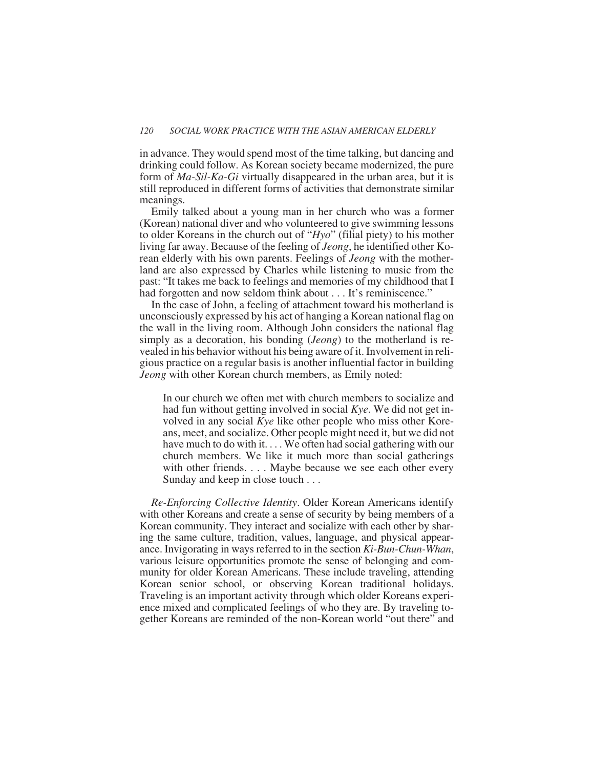in advance. They would spend most of the time talking, but dancing and drinking could follow. As Korean society became modernized, the pure form of *Ma-Sil-Ka-Gi* virtually disappeared in the urban area, but it is still reproduced in different forms of activities that demonstrate similar meanings.

Emily talked about a young man in her church who was a former (Korean) national diver and who volunteered to give swimming lessons to older Koreans in the church out of "*Hyo*" (filial piety) to his mother living far away. Because of the feeling of *Jeong*, he identified other Korean elderly with his own parents. Feelings of *Jeong* with the motherland are also expressed by Charles while listening to music from the past: "It takes me back to feelings and memories of my childhood that I had forgotten and now seldom think about . . . It's reminiscence."

In the case of John, a feeling of attachment toward his motherland is unconsciously expressed by his act of hanging a Korean national flag on the wall in the living room. Although John considers the national flag simply as a decoration, his bonding (*Jeong*) to the motherland is revealed in his behavior without his being aware of it. Involvement in religious practice on a regular basis is another influential factor in building *Jeong* with other Korean church members, as Emily noted:

In our church we often met with church members to socialize and had fun without getting involved in social *Kye*. We did not get involved in any social *Kye* like other people who miss other Koreans, meet, and socialize. Other people might need it, but we did not have much to do with it.... We often had social gathering with our church members. We like it much more than social gatherings with other friends. . . . Maybe because we see each other every Sunday and keep in close touch . . .

*Re-Enforcing Collective Identity*. Older Korean Americans identify with other Koreans and create a sense of security by being members of a Korean community. They interact and socialize with each other by sharing the same culture, tradition, values, language, and physical appearance. Invigorating in ways referred to in the section *Ki-Bun-Chun-Whan*, various leisure opportunities promote the sense of belonging and community for older Korean Americans. These include traveling, attending Korean senior school, or observing Korean traditional holidays. Traveling is an important activity through which older Koreans experience mixed and complicated feelings of who they are. By traveling together Koreans are reminded of the non-Korean world "out there" and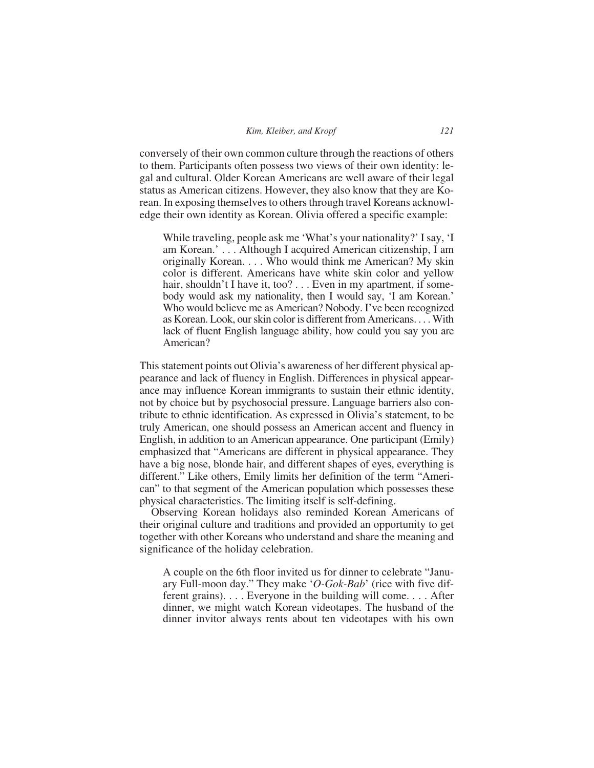conversely of their own common culture through the reactions of others to them. Participants often possess two views of their own identity: legal and cultural. Older Korean Americans are well aware of their legal status as American citizens. However, they also know that they are Korean. In exposing themselves to others through travel Koreans acknowledge their own identity as Korean. Olivia offered a specific example:

While traveling, people ask me 'What's your nationality?' I say, 'I am Korean.'... Although I acquired American citizenship, I am originally Korean. . . . Who would think me American? My skin color is different. Americans have white skin color and yellow hair, shouldn't I have it, too? . . . Even in my apartment, if somebody would ask my nationality, then I would say, 'I am Korean.' Who would believe me as American? Nobody. I've been recognized as Korean. Look, our skin color is different from Americans.... With lack of fluent English language ability, how could you say you are American?

This statement points out Olivia's awareness of her different physical appearance and lack of fluency in English. Differences in physical appearance may influence Korean immigrants to sustain their ethnic identity, not by choice but by psychosocial pressure. Language barriers also contribute to ethnic identification. As expressed in Olivia's statement, to be truly American, one should possess an American accent and fluency in English, in addition to an American appearance. One participant (Emily) emphasized that "Americans are different in physical appearance. They have a big nose, blonde hair, and different shapes of eyes, everything is different." Like others, Emily limits her definition of the term "American" to that segment of the American population which possesses these physical characteristics. The limiting itself is self-defining.

Observing Korean holidays also reminded Korean Americans of their original culture and traditions and provided an opportunity to get together with other Koreans who understand and share the meaning and significance of the holiday celebration.

A couple on the 6th floor invited us for dinner to celebrate "January Full-moon day." They make '*O-Gok-Bab*' (rice with five different grains). . . . Everyone in the building will come. . . . After dinner, we might watch Korean videotapes. The husband of the dinner invitor always rents about ten videotapes with his own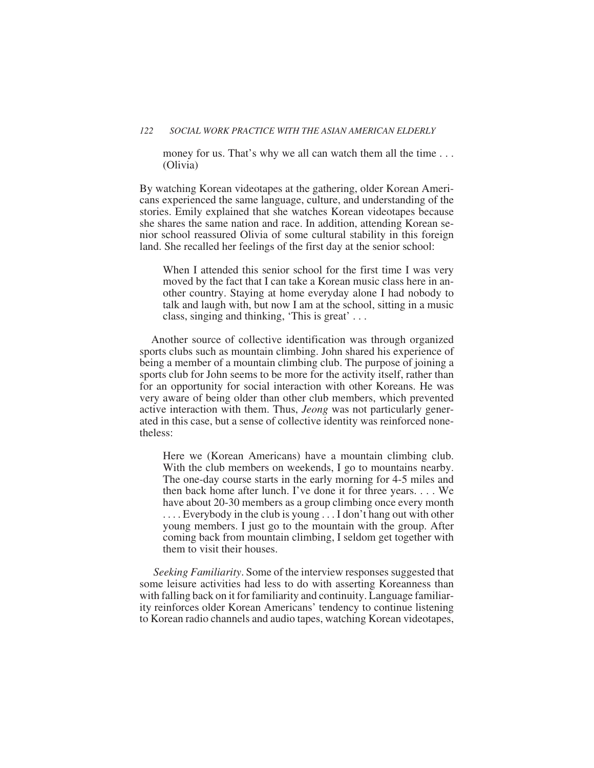money for us. That's why we all can watch them all the time . . . (Olivia)

By watching Korean videotapes at the gathering, older Korean Americans experienced the same language, culture, and understanding of the stories. Emily explained that she watches Korean videotapes because she shares the same nation and race. In addition, attending Korean senior school reassured Olivia of some cultural stability in this foreign land. She recalled her feelings of the first day at the senior school:

When I attended this senior school for the first time I was very moved by the fact that I can take a Korean music class here in another country. Staying at home everyday alone I had nobody to talk and laugh with, but now I am at the school, sitting in a music class, singing and thinking, 'This is great' . . .

Another source of collective identification was through organized sports clubs such as mountain climbing. John shared his experience of being a member of a mountain climbing club. The purpose of joining a sports club for John seems to be more for the activity itself, rather than for an opportunity for social interaction with other Koreans. He was very aware of being older than other club members, which prevented active interaction with them. Thus, *Jeong* was not particularly generated in this case, but a sense of collective identity was reinforced nonetheless:

Here we (Korean Americans) have a mountain climbing club. With the club members on weekends, I go to mountains nearby. The one-day course starts in the early morning for 4-5 miles and then back home after lunch. I've done it for three years. . . . We have about 20-30 members as a group climbing once every month .... Everybody in the club is young ... I don't hang out with other young members. I just go to the mountain with the group. After coming back from mountain climbing, I seldom get together with them to visit their houses.

*Seeking Familiarity*. Some of the interview responses suggested that some leisure activities had less to do with asserting Koreanness than with falling back on it for familiarity and continuity. Language familiarity reinforces older Korean Americans' tendency to continue listening to Korean radio channels and audio tapes, watching Korean videotapes,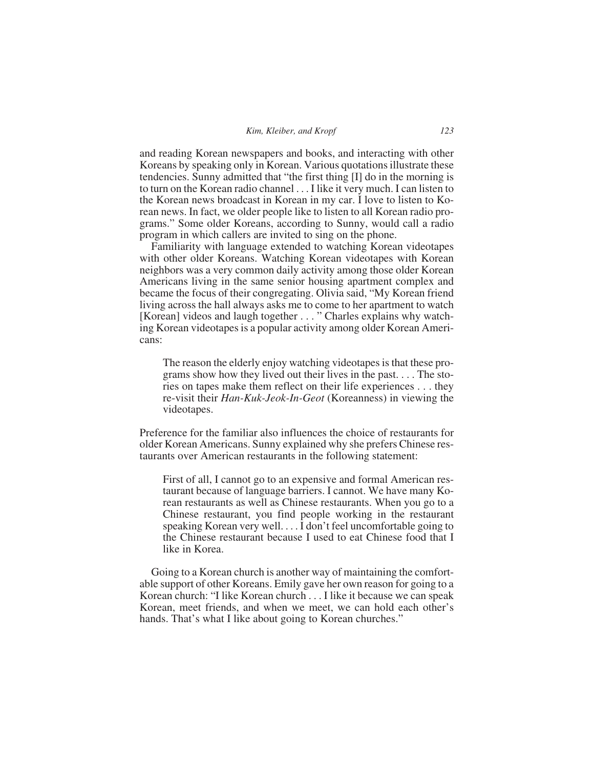and reading Korean newspapers and books, and interacting with other Koreans by speaking only in Korean. Various quotations illustrate these tendencies. Sunny admitted that "the first thing [I] do in the morning is to turn on the Korean radio channel ...I like it very much. I can listen to the Korean news broadcast in Korean in my car. I love to listen to Korean news. In fact, we older people like to listen to all Korean radio programs." Some older Koreans, according to Sunny, would call a radio program in which callers are invited to sing on the phone.

Familiarity with language extended to watching Korean videotapes with other older Koreans. Watching Korean videotapes with Korean neighbors was a very common daily activity among those older Korean Americans living in the same senior housing apartment complex and became the focus of their congregating. Olivia said, "My Korean friend living across the hall always asks me to come to her apartment to watch [Korean] videos and laugh together ..." Charles explains why watching Korean videotapes is a popular activity among older Korean Americans:

The reason the elderly enjoy watching videotapes is that these programs show how they lived out their lives in the past. . . . The stories on tapes make them reflect on their life experiences . . . they re-visit their *Han-Kuk-Jeok-In-Geot* (Koreanness) in viewing the videotapes.

Preference for the familiar also influences the choice of restaurants for older Korean Americans. Sunny explained why she prefers Chinese restaurants over American restaurants in the following statement:

First of all, I cannot go to an expensive and formal American restaurant because of language barriers. I cannot. We have many Korean restaurants as well as Chinese restaurants. When you go to a Chinese restaurant, you find people working in the restaurant speaking Korean very well. . . . I don't feel uncomfortable going to the Chinese restaurant because I used to eat Chinese food that I like in Korea.

Going to a Korean church is another way of maintaining the comfortable support of other Koreans. Emily gave her own reason for going to a Korean church: "I like Korean church ...I like it because we can speak Korean, meet friends, and when we meet, we can hold each other's hands. That's what I like about going to Korean churches."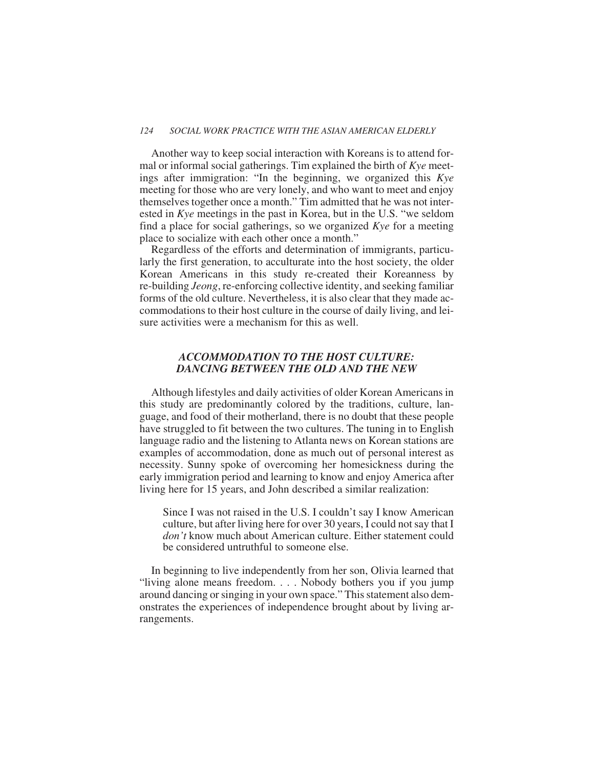Another way to keep social interaction with Koreans is to attend formal or informal social gatherings. Tim explained the birth of *Kye* meetings after immigration: "In the beginning, we organized this *Kye* meeting for those who are very lonely, and who want to meet and enjoy themselves together once a month." Tim admitted that he was not interested in *Kye* meetings in the past in Korea, but in the U.S. "we seldom find a place for social gatherings, so we organized *Kye* for a meeting place to socialize with each other once a month."

Regardless of the efforts and determination of immigrants, particularly the first generation, to acculturate into the host society, the older Korean Americans in this study re-created their Koreanness by re-building *Jeong*, re-enforcing collective identity, and seeking familiar forms of the old culture. Nevertheless, it is also clear that they made accommodations to their host culture in the course of daily living, and leisure activities were a mechanism for this as well.

## *ACCOMMODATION TO THE HOST CULTURE: DANCING BETWEEN THE OLD AND THE NEW*

Although lifestyles and daily activities of older Korean Americans in this study are predominantly colored by the traditions, culture, language, and food of their motherland, there is no doubt that these people have struggled to fit between the two cultures. The tuning in to English language radio and the listening to Atlanta news on Korean stations are examples of accommodation, done as much out of personal interest as necessity. Sunny spoke of overcoming her homesickness during the early immigration period and learning to know and enjoy America after living here for 15 years, and John described a similar realization:

Since I was not raised in the U.S. I couldn't say I know American culture, but after living here for over 30 years, I could not say that I *don't* know much about American culture. Either statement could be considered untruthful to someone else.

In beginning to live independently from her son, Olivia learned that "living alone means freedom. . . . Nobody bothers you if you jump around dancing or singing in your own space." This statement also demonstrates the experiences of independence brought about by living arrangements.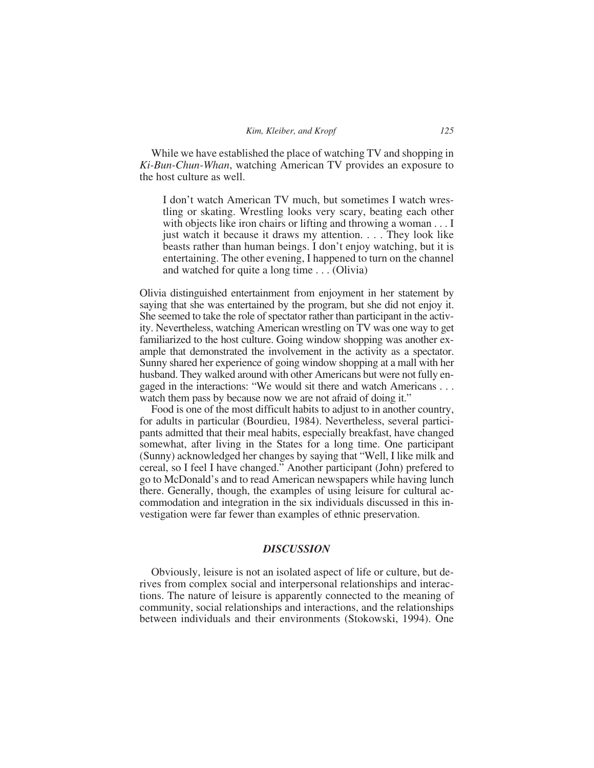While we have established the place of watching TV and shopping in *Ki-Bun-Chun-Whan*, watching American TV provides an exposure to the host culture as well.

I don't watch American TV much, but sometimes I watch wrestling or skating. Wrestling looks very scary, beating each other with objects like iron chairs or lifting and throwing a woman . . . I just watch it because it draws my attention. . . . They look like beasts rather than human beings. I don't enjoy watching, but it is entertaining. The other evening, I happened to turn on the channel and watched for quite a long time . . . (Olivia)

Olivia distinguished entertainment from enjoyment in her statement by saying that she was entertained by the program, but she did not enjoy it. She seemed to take the role of spectator rather than participant in the activity. Nevertheless, watching American wrestling on TV was one way to get familiarized to the host culture. Going window shopping was another example that demonstrated the involvement in the activity as a spectator. Sunny shared her experience of going window shopping at a mall with her husband. They walked around with other Americans but were not fully engaged in the interactions: "We would sit there and watch Americans... watch them pass by because now we are not afraid of doing it."

Food is one of the most difficult habits to adjust to in another country, for adults in particular (Bourdieu, 1984). Nevertheless, several participants admitted that their meal habits, especially breakfast, have changed somewhat, after living in the States for a long time. One participant (Sunny) acknowledged her changes by saying that "Well, I like milk and cereal, so I feel I have changed." Another participant (John) prefered to go to McDonald's and to read American newspapers while having lunch there. Generally, though, the examples of using leisure for cultural accommodation and integration in the six individuals discussed in this investigation were far fewer than examples of ethnic preservation.

## *DISCUSSION*

Obviously, leisure is not an isolated aspect of life or culture, but derives from complex social and interpersonal relationships and interactions. The nature of leisure is apparently connected to the meaning of community, social relationships and interactions, and the relationships between individuals and their environments (Stokowski, 1994). One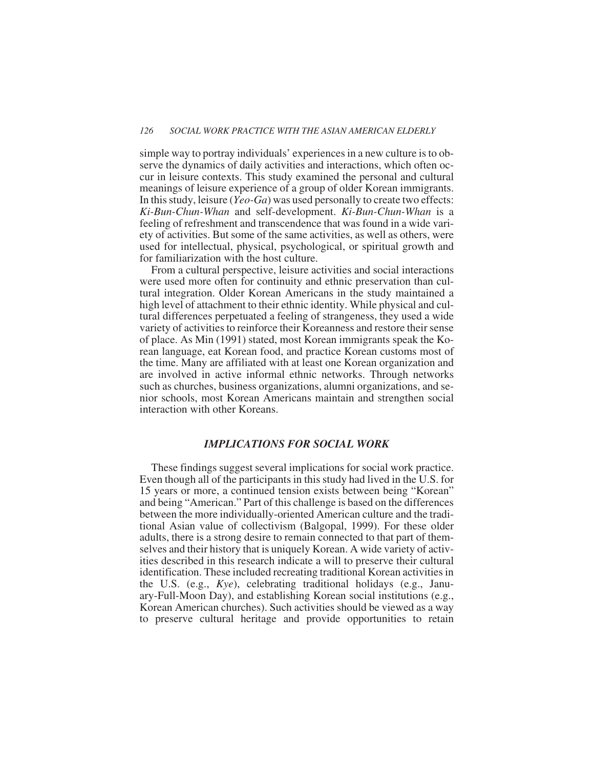simple way to portray individuals' experiences in a new culture is to observe the dynamics of daily activities and interactions, which often occur in leisure contexts. This study examined the personal and cultural meanings of leisure experience of a group of older Korean immigrants. In this study, leisure (*Yeo-Ga*) was used personally to create two effects: *Ki-Bun-Chun-Whan* and self-development. *Ki-Bun-Chun-Whan* is a feeling of refreshment and transcendence that was found in a wide variety of activities. But some of the same activities, as well as others, were used for intellectual, physical, psychological, or spiritual growth and for familiarization with the host culture.

From a cultural perspective, leisure activities and social interactions were used more often for continuity and ethnic preservation than cultural integration. Older Korean Americans in the study maintained a high level of attachment to their ethnic identity. While physical and cultural differences perpetuated a feeling of strangeness, they used a wide variety of activities to reinforce their Koreanness and restore their sense of place. As Min (1991) stated, most Korean immigrants speak the Korean language, eat Korean food, and practice Korean customs most of the time. Many are affiliated with at least one Korean organization and are involved in active informal ethnic networks. Through networks such as churches, business organizations, alumni organizations, and senior schools, most Korean Americans maintain and strengthen social interaction with other Koreans.

### *IMPLICATIONS FOR SOCIAL WORK*

These findings suggest several implications for social work practice. Even though all of the participants in this study had lived in the U.S. for 15 years or more, a continued tension exists between being "Korean" and being "American." Part of this challenge is based on the differences between the more individually-oriented American culture and the traditional Asian value of collectivism (Balgopal, 1999). For these older adults, there is a strong desire to remain connected to that part of themselves and their history that is uniquely Korean. A wide variety of activities described in this research indicate a will to preserve their cultural identification. These included recreating traditional Korean activities in the U.S. (e.g., *Kye*), celebrating traditional holidays (e.g., January-Full-Moon Day), and establishing Korean social institutions (e.g., Korean American churches). Such activities should be viewed as a way to preserve cultural heritage and provide opportunities to retain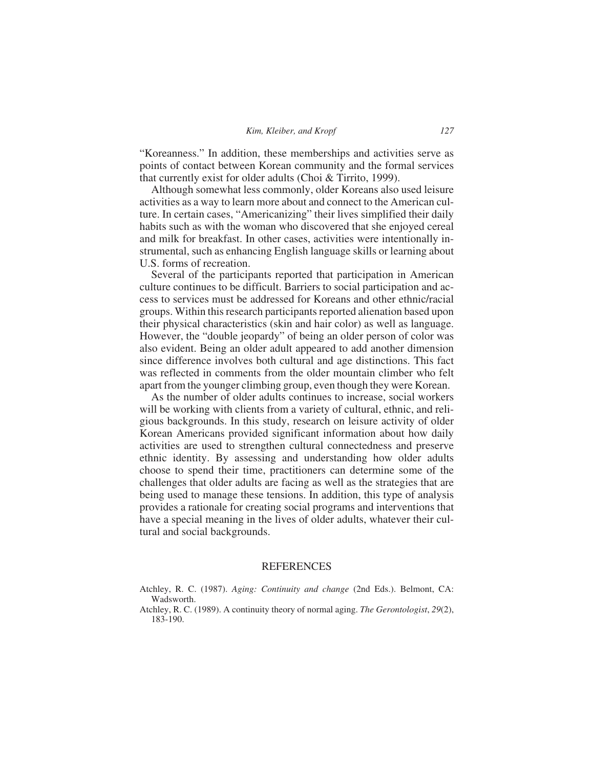"Koreanness." In addition, these memberships and activities serve as points of contact between Korean community and the formal services that currently exist for older adults (Choi & Tirrito, 1999).

Although somewhat less commonly, older Koreans also used leisure activities as a way to learn more about and connect to the American culture. In certain cases, "Americanizing" their lives simplified their daily habits such as with the woman who discovered that she enjoyed cereal and milk for breakfast. In other cases, activities were intentionally instrumental, such as enhancing English language skills or learning about U.S. forms of recreation.

Several of the participants reported that participation in American culture continues to be difficult. Barriers to social participation and access to services must be addressed for Koreans and other ethnic/racial groups. Within this research participants reported alienation based upon their physical characteristics (skin and hair color) as well as language. However, the "double jeopardy" of being an older person of color was also evident. Being an older adult appeared to add another dimension since difference involves both cultural and age distinctions. This fact was reflected in comments from the older mountain climber who felt apart from the younger climbing group, even though they were Korean.

As the number of older adults continues to increase, social workers will be working with clients from a variety of cultural, ethnic, and religious backgrounds. In this study, research on leisure activity of older Korean Americans provided significant information about how daily activities are used to strengthen cultural connectedness and preserve ethnic identity. By assessing and understanding how older adults choose to spend their time, practitioners can determine some of the challenges that older adults are facing as well as the strategies that are being used to manage these tensions. In addition, this type of analysis provides a rationale for creating social programs and interventions that have a special meaning in the lives of older adults, whatever their cultural and social backgrounds.

### **REFERENCES**

Atchley, R. C. (1987). *Aging: Continuity and change* (2nd Eds.). Belmont, CA: Wadsworth.

Atchley, R. C. (1989). A continuity theory of normal aging. *The Gerontologist*, *29*(2), 183-190.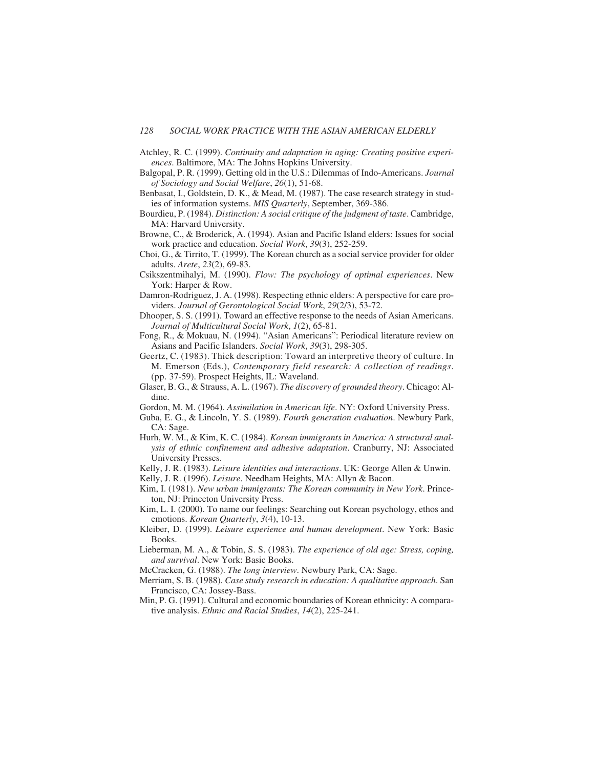- Atchley, R. C. (1999). *Continuity and adaptation in aging: Creating positive experiences*. Baltimore, MA: The Johns Hopkins University.
- Balgopal, P. R. (1999). Getting old in the U.S.: Dilemmas of Indo-Americans. *Journal of Sociology and Social Welfare*, *26*(1), 51-68.
- Benbasat, I., Goldstein, D. K., & Mead, M. (1987). The case research strategy in studies of information systems. *MIS Quarterly*, September, 369-386.
- Bourdieu, P. (1984). *Distinction: A social critique of the judgment of taste*. Cambridge, MA: Harvard University.
- Browne, C., & Broderick, A. (1994). Asian and Pacific Island elders: Issues for social work practice and education. *Social Work*, *39*(3), 252-259.
- Choi, G., & Tirrito, T. (1999). The Korean church as a social service provider for older adults. *Arete*, *23*(2), 69-83.
- Csikszentmihalyi, M. (1990). *Flow: The psychology of optimal experiences*. New York: Harper & Row.
- Damron-Rodriguez, J. A. (1998). Respecting ethnic elders: A perspective for care providers. *Journal of Gerontological Social Work*, *29*(2/3), 53-72.
- Dhooper, S. S. (1991). Toward an effective response to the needs of Asian Americans. *Journal of Multicultural Social Work*, *1*(2), 65-81.
- Fong, R., & Mokuau, N. (1994). "Asian Americans": Periodical literature review on Asians and Pacific Islanders. *Social Work*, *39*(3), 298-305.
- Geertz, C. (1983). Thick description: Toward an interpretive theory of culture. In M. Emerson (Eds.), *Contemporary field research: A collection of readings*. (pp. 37-59). Prospect Heights, IL: Waveland.
- Glaser, B. G., & Strauss, A. L. (1967). *The discovery of grounded theory*. Chicago: Aldine.

Gordon, M. M. (1964). *Assimilation in American life*. NY: Oxford University Press.

- Guba, E. G., & Lincoln, Y. S. (1989). *Fourth generation evaluation*. Newbury Park, CA: Sage.
- Hurh, W. M., & Kim, K. C. (1984). *Korean immigrants in America: A structural analysis of ethnic confinement and adhesive adaptation*. Cranburry, NJ: Associated University Presses.
- Kelly, J. R. (1983). *Leisure identities and interactions*. UK: George Allen & Unwin.
- Kelly, J. R. (1996). *Leisure*. Needham Heights, MA: Allyn & Bacon.
- Kim, I. (1981). *New urban immigrants: The Korean community in New York*. Princeton, NJ: Princeton University Press.
- Kim, L. I. (2000). To name our feelings: Searching out Korean psychology, ethos and emotions. *Korean Quarterly*, *3*(4), 10-13.
- Kleiber, D. (1999). *Leisure experience and human development*. New York: Basic Books.
- Lieberman, M. A., & Tobin, S. S. (1983). *The experience of old age: Stress, coping, and survival*. New York: Basic Books.
- McCracken, G. (1988). *The long interview*. Newbury Park, CA: Sage.
- Merriam, S. B. (1988). *Case study research in education: A qualitative approach*. San Francisco, CA: Jossey-Bass.
- Min, P. G. (1991). Cultural and economic boundaries of Korean ethnicity: A comparative analysis. *Ethnic and Racial Studies*, *14*(2), 225-241.